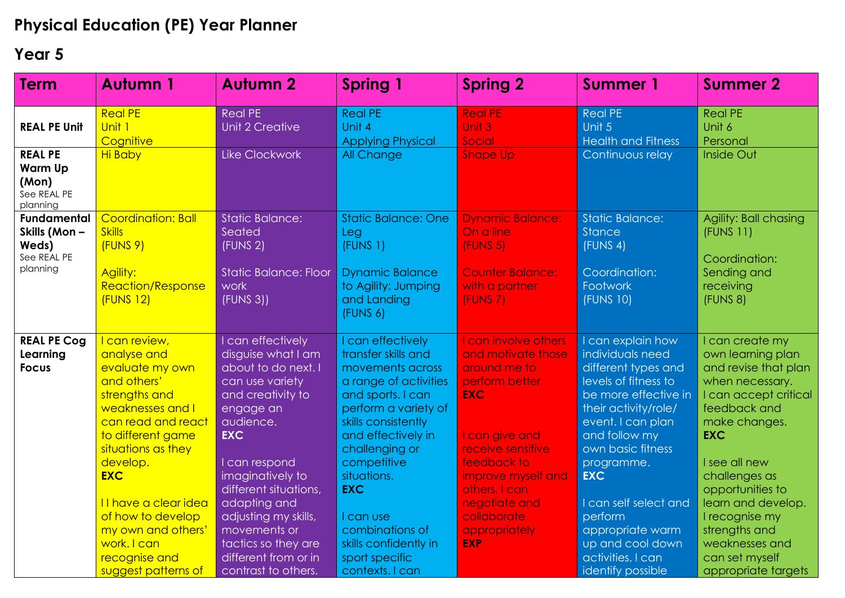## **Physical Education (PE) Year Planner**

## **Year 5**

| <b>Term</b>                                                            | <b>Autumn 1</b>                                                                                                                                                                                                                                                                                                          | <b>Autumn 2</b>                                                                                                                                                                                                                                                                                                                            | <b>Spring 1</b>                                                                                                                                                                                                                                                                                                                             | <b>Spring 2</b>                                                                                                                                                                                                                                        | <b>Summer 1</b>                                                                                                                                                                                                                                                                                                                                   | <b>Summer 2</b>                                                                                                                                                                                                                                                                                                                   |
|------------------------------------------------------------------------|--------------------------------------------------------------------------------------------------------------------------------------------------------------------------------------------------------------------------------------------------------------------------------------------------------------------------|--------------------------------------------------------------------------------------------------------------------------------------------------------------------------------------------------------------------------------------------------------------------------------------------------------------------------------------------|---------------------------------------------------------------------------------------------------------------------------------------------------------------------------------------------------------------------------------------------------------------------------------------------------------------------------------------------|--------------------------------------------------------------------------------------------------------------------------------------------------------------------------------------------------------------------------------------------------------|---------------------------------------------------------------------------------------------------------------------------------------------------------------------------------------------------------------------------------------------------------------------------------------------------------------------------------------------------|-----------------------------------------------------------------------------------------------------------------------------------------------------------------------------------------------------------------------------------------------------------------------------------------------------------------------------------|
| <b>REAL PE Unit</b>                                                    | <b>Real PE</b><br>Unit 1<br>Cognitive                                                                                                                                                                                                                                                                                    | <b>Real PE</b><br>Unit 2 Creative                                                                                                                                                                                                                                                                                                          | <b>Real PE</b><br>Unit 4<br><b>Applying Physical</b>                                                                                                                                                                                                                                                                                        | <b>Real PE</b><br>Unit 3<br>Social                                                                                                                                                                                                                     | <b>Real PE</b><br>Unit 5<br><b>Health and Fitness</b>                                                                                                                                                                                                                                                                                             | <b>Real PE</b><br>Unit 6<br>Personal                                                                                                                                                                                                                                                                                              |
| <b>REAL PE</b><br><b>Warm Up</b><br>(Mon)<br>See REAL PE<br>planning   | <b>Hi Baby</b>                                                                                                                                                                                                                                                                                                           | <b>Like Clockwork</b>                                                                                                                                                                                                                                                                                                                      | All Change                                                                                                                                                                                                                                                                                                                                  | <b>Shape Up</b>                                                                                                                                                                                                                                        | Continuous relay                                                                                                                                                                                                                                                                                                                                  | Inside Out                                                                                                                                                                                                                                                                                                                        |
| <b>Fundamental</b><br>Skills (Mon-<br>Weds)<br>See REAL PE<br>planning | <b>Coordination: Ball</b><br><b>Skills</b><br>(FUNS 9)<br>Agility:<br><b>Reaction/Response</b><br><b>(FUNS 12)</b>                                                                                                                                                                                                       | <b>Static Balance:</b><br>Seated<br>(FUNS <sub>2</sub> )<br><b>Static Balance: Floor</b><br>work<br>(FUNS 3)                                                                                                                                                                                                                               | <b>Static Balance: One</b><br>Leg<br>(FUNS 1)<br><b>Dynamic Balance</b><br>to Agility: Jumping<br>and Landing<br>(FUNS 6)                                                                                                                                                                                                                   | <b>Dynamic Balance:</b><br>On a line<br>(FUNS 5)<br><b>Counter Balance:</b><br>with a partner<br><b>(FUNS 7)</b>                                                                                                                                       | <b>Static Balance:</b><br><b>Stance</b><br>(FUNS 4)<br>Coordination:<br>Footwork<br>(FUNS 10)                                                                                                                                                                                                                                                     | Agility: Ball chasing<br>(FUNS 11)<br>Coordination:<br>Sending and<br>receiving<br>(FUNS 8)                                                                                                                                                                                                                                       |
| <b>REAL PE Cog</b><br>Learning<br><b>Focus</b>                         | I can review,<br>analyse and<br>evaluate my own<br>and others'<br>strengths and<br>weaknesses and I<br>can read and react<br>to different game<br>situations as they<br>develop.<br><b>EXC</b><br>Il have a clear idea<br>of how to develop<br>my own and others'<br>work. I can<br>recognise and<br>suggest patterns of | I can effectively<br>disguise what I am<br>about to do next. I<br>can use variety<br>and creativity to<br>engage an<br>audience.<br><b>EXC</b><br>I can respond<br>imaginatively to<br>different situations,<br>adapting and<br>adjusting my skills,<br>movements or<br>tactics so they are<br>different from or in<br>contrast to others. | I can effectively<br>transfer skills and<br>movements across<br>a range of activities<br>and sports. I can<br>perform a variety of<br>skills consistently<br>and effectively in<br>challenging or<br>competitive<br>situations.<br><b>EXC</b><br>I can use<br>combinations of<br>skills confidently in<br>sport specific<br>contexts. I can | I can involve others<br>and motivate those<br>around me to<br>perform better<br><b>EXC</b><br>I can give and<br>receive sensitive<br>feedback to<br>improve myself and<br>others. I can<br>negotiate and<br>collaborate<br>appropriately<br><b>EXP</b> | I can explain how<br>individuals need<br>different types and<br>levels of fitness to<br>be more effective in<br>their activity/role/<br>event. I can plan<br>and follow my<br>own basic fitness<br>programme.<br><b>EXC</b><br>I can self select and<br>perform<br>appropriate warm<br>up and cool down<br>activities. I can<br>identify possible | I can create my<br>own learning plan<br>and revise that plan<br>when necessary.<br>I can accept critical<br>feedback and<br>make changes.<br><b>EXC</b><br>I see all new<br>challenges as<br>opportunities to<br>learn and develop.<br>I recognise my<br>strengths and<br>weaknesses and<br>can set myself<br>appropriate targets |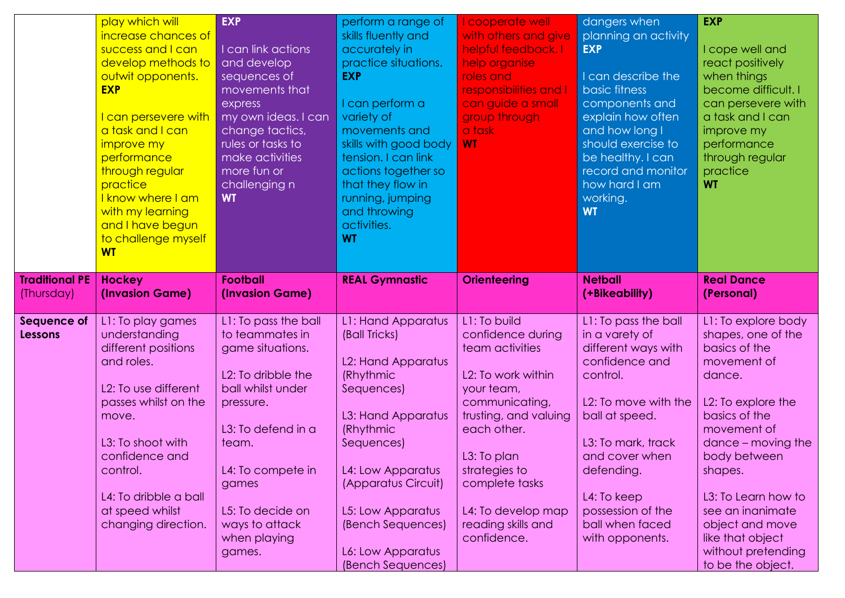|                                     | play which will<br>increase chances of<br>success and I can<br>develop methods to<br>outwit opponents.<br><b>EXP</b><br>I can persevere with<br>a task and I can<br>improve my<br>performance<br>through regular<br>practice<br>I know where I am<br>with my learning<br>and I have begun<br>to challenge myself<br><b>WT</b> | <b>EXP</b><br>I can link actions<br>and develop<br>sequences of<br>movements that<br>express<br>my own ideas. I can<br>change tactics,<br>rules or tasks to<br>make activities<br>more fun or<br>challenging n<br><b>WT</b>                      | perform a range of<br>skills fluently and<br>accurately in<br>practice situations.<br><b>EXP</b><br>I can perform a<br>variety of<br>movements and<br>skills with good body<br>tension. I can link<br>actions together so<br>that they flow in<br>running, jumping<br>and throwing<br>activities.<br><b>WT</b> | I cooperate well<br>with others and give<br>helpful feedback. I<br>help organise<br>roles and<br>responsibilities and I<br>can guide a small<br>group through<br>a task<br><b>WT</b>                                                                            | dangers when<br>planning an activity<br><b>EXP</b><br>I can describe the<br><b>basic</b> fitness<br>components and<br>explain how often<br>and how long I<br>should exercise to<br>be healthy. I can<br>record and monitor<br>how hard I am<br>working.<br><b>WT</b>  | <b>EXP</b><br>I cope well and<br>react positively<br>when things<br>become difficult. I<br>can persevere with<br>a task and I can<br>improve my<br>performance<br>through regular<br>practice<br><b>WT</b>                                                                                                                |
|-------------------------------------|-------------------------------------------------------------------------------------------------------------------------------------------------------------------------------------------------------------------------------------------------------------------------------------------------------------------------------|--------------------------------------------------------------------------------------------------------------------------------------------------------------------------------------------------------------------------------------------------|----------------------------------------------------------------------------------------------------------------------------------------------------------------------------------------------------------------------------------------------------------------------------------------------------------------|-----------------------------------------------------------------------------------------------------------------------------------------------------------------------------------------------------------------------------------------------------------------|-----------------------------------------------------------------------------------------------------------------------------------------------------------------------------------------------------------------------------------------------------------------------|---------------------------------------------------------------------------------------------------------------------------------------------------------------------------------------------------------------------------------------------------------------------------------------------------------------------------|
| <b>Traditional PE</b><br>(Thursday) | <b>Hockey</b><br>(Invasion Game)                                                                                                                                                                                                                                                                                              | <b>Football</b><br>(Invasion Game)                                                                                                                                                                                                               | <b>REAL Gymnastic</b>                                                                                                                                                                                                                                                                                          | <b>Orienteering</b>                                                                                                                                                                                                                                             | <b>Netball</b><br>(+Bikeability)                                                                                                                                                                                                                                      | <b>Real Dance</b><br>(Personal)                                                                                                                                                                                                                                                                                           |
| Sequence of<br>Lessons              | L1: To play games<br>understanding<br>different positions<br>and roles.<br>L <sub>2</sub> : To use different<br>passes whilst on the<br>move.<br>L3: To shoot with<br>confidence and<br>control.<br>L4: To dribble a ball<br>at speed whilst<br>changing direction.                                                           | L1: To pass the ball<br>to teammates in<br>game situations.<br>L2: To dribble the<br>ball whilst under<br>pressure.<br>L3: To defend in a<br>team.<br>L4: To compete in<br>games<br>L5: To decide on<br>ways to attack<br>when playing<br>games. | L1: Hand Apparatus<br>(Ball Tricks)<br>L2: Hand Apparatus<br>(Rhythmic<br>Sequences)<br>L3: Hand Apparatus<br>(Rhythmic<br>Sequences)<br>L4: Low Apparatus<br>(Apparatus Circuit)<br>L5: Low Apparatus<br>(Bench Sequences)<br>L6: Low Apparatus<br>(Bench Sequences)                                          | L1: To build<br>confidence during<br>team activities<br>L2: To work within<br>your team,<br>communicating,<br>trusting, and valuing<br>each other.<br>L3: To plan<br>strategies to<br>complete tasks<br>L4: To develop map<br>reading skills and<br>confidence. | L1: To pass the ball<br>in a varety of<br>different ways with<br>confidence and<br>control.<br>L2: To move with the<br>ball at speed.<br>L3: To mark, track<br>and cover when<br>defending.<br>L4: To keep<br>possession of the<br>ball when faced<br>with opponents. | L1: To explore body<br>shapes, one of the<br>basics of the<br>movement of<br>dance.<br>L2: To explore the<br>basics of the<br>movement of<br>$dance - moving the$<br>body between<br>shapes.<br>L3: To Learn how to<br>see an inanimate<br>object and move<br>like that object<br>without pretending<br>to be the object. |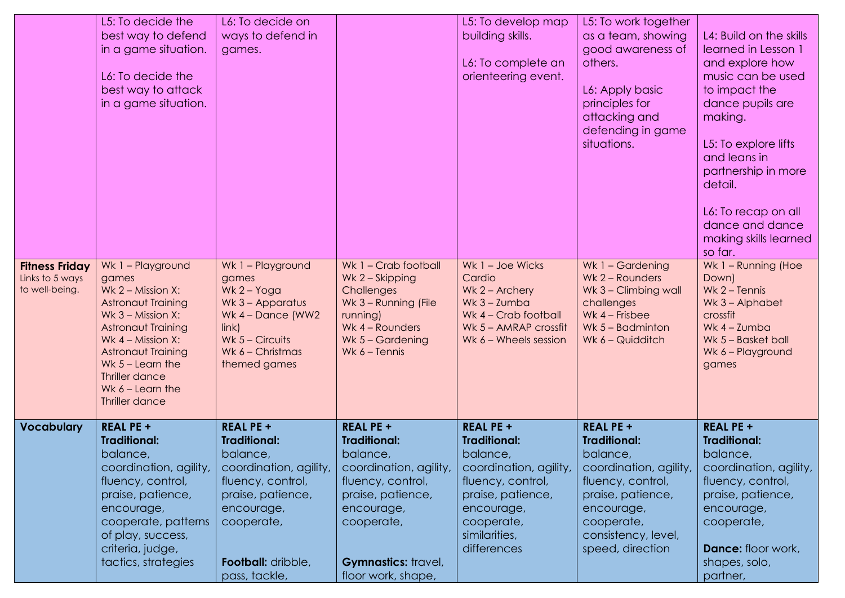|                                                            | L5: To decide the<br>best way to defend<br>in a game situation.<br>L6: To decide the<br>best way to attack<br>in a game situation.                                                                                                                        | L6: To decide on<br>ways to defend in<br>games.                                                                                                                                                   |                                                                                                                                                                                                  | L5: To develop map<br>building skills.<br>L6: To complete an<br>orienteering event.                                                                                                 | L5: To work together<br>as a team, showing<br>good awareness of<br>others.<br>L6: Apply basic<br>principles for<br>attacking and<br>defending in game<br>situations.                           | L4: Build on the skills<br>learned in Lesson 1<br>and explore how<br>music can be used<br>to impact the<br>dance pupils are<br>making.<br>L5: To explore lifts<br>and leans in<br>partnership in more<br>detail.<br>L6: To recap on all<br>dance and dance<br>making skills learned<br>so far. |
|------------------------------------------------------------|-----------------------------------------------------------------------------------------------------------------------------------------------------------------------------------------------------------------------------------------------------------|---------------------------------------------------------------------------------------------------------------------------------------------------------------------------------------------------|--------------------------------------------------------------------------------------------------------------------------------------------------------------------------------------------------|-------------------------------------------------------------------------------------------------------------------------------------------------------------------------------------|------------------------------------------------------------------------------------------------------------------------------------------------------------------------------------------------|------------------------------------------------------------------------------------------------------------------------------------------------------------------------------------------------------------------------------------------------------------------------------------------------|
| <b>Fitness Friday</b><br>Links to 5 ways<br>to well-being. | Wk 1 - Playground<br>games<br>Wk $2$ – Mission X:<br><b>Astronaut Training</b><br>Wk $3 - Mission X$ :<br>Astronaut Training<br>Wk $4$ – Mission X:<br>Astronaut Training<br>Wk $5 -$ Learn the<br>Thriller dance<br>Wk $6$ – Learn the<br>Thriller dance | Wk 1 - Playground<br>games<br>Wk $2 - Y$ oga<br>Wk 3 - Apparatus<br>Wk $4 -$ Dance (WW2)<br>link)<br>Wk $5 - Circuits$<br>Wk 6 - Christmas<br>themed games                                        | Wk 1 - Crab football<br>Wk 2 - Skipping<br>Challenges<br>Wk 3 - Running (File<br>running)<br>Wk 4 - Rounders<br>Wk $5 -$ Gardening<br>Wk $6$ – Tennis                                            | Wk 1 - Joe Wicks<br>Cardio<br>Wk $2 -$ Archery<br>Wk $3 -$ Zumba<br>Wk 4 - Crab football<br>Wk 5 - AMRAP crossfit<br>Wk 6 - Wheels session                                          | Wk 1 - Gardening<br>Wk 2 - Rounders<br>Wk 3 - Climbing wall<br>challenges<br>Wk $4$ – Frisbee<br>Wk $5 -$ Badminton<br>Wk 6 - Quidditch                                                        | Wk 1 - Running (Hoe<br>Down)<br>Wk $2 -$ Tennis<br>Wk 3 - Alphabet<br>crossfit<br>Wk $4 -$ Zumba<br>Wk 5 - Basket ball<br>Wk 6 - Playground<br>games                                                                                                                                           |
| <b>Vocabulary</b>                                          | <b>REAL PE +</b><br><b>Traditional:</b><br>balance,<br>coordination, agility,<br>fluency, control,<br>praise, patience,<br>encourage,<br>cooperate, patterns<br>of play, success,<br>criteria, judge,<br>tactics, strategies                              | <b>REAL PE +</b><br><b>Traditional:</b><br>balance,<br>coordination, agility,<br>fluency, control,<br>praise, patience,<br>encourage,<br>cooperate,<br><b>Football:</b> dribble,<br>pass, tackle, | <b>REAL PE +</b><br><b>Traditional:</b><br>balance,<br>coordination, agility,<br>fluency, control,<br>praise, patience,<br>encourage,<br>cooperate,<br>Gymnastics: travel,<br>floor work, shape, | <b>REAL PE +</b><br><b>Traditional:</b><br>balance,<br>coordination, agility,<br>fluency, control,<br>praise, patience,<br>encourage,<br>cooperate,<br>similarities,<br>differences | <b>REAL PE +</b><br><b>Traditional:</b><br>balance,<br>coordination, agility,<br>fluency, control,<br>praise, patience,<br>encourage,<br>cooperate,<br>consistency, level,<br>speed, direction | <b>REAL PE +</b><br><b>Traditional:</b><br>balance,<br>coordination, agility,<br>fluency, control,<br>praise, patience,<br>encourage,<br>cooperate,<br><b>Dance:</b> floor work,<br>shapes, solo,<br>partner,                                                                                  |